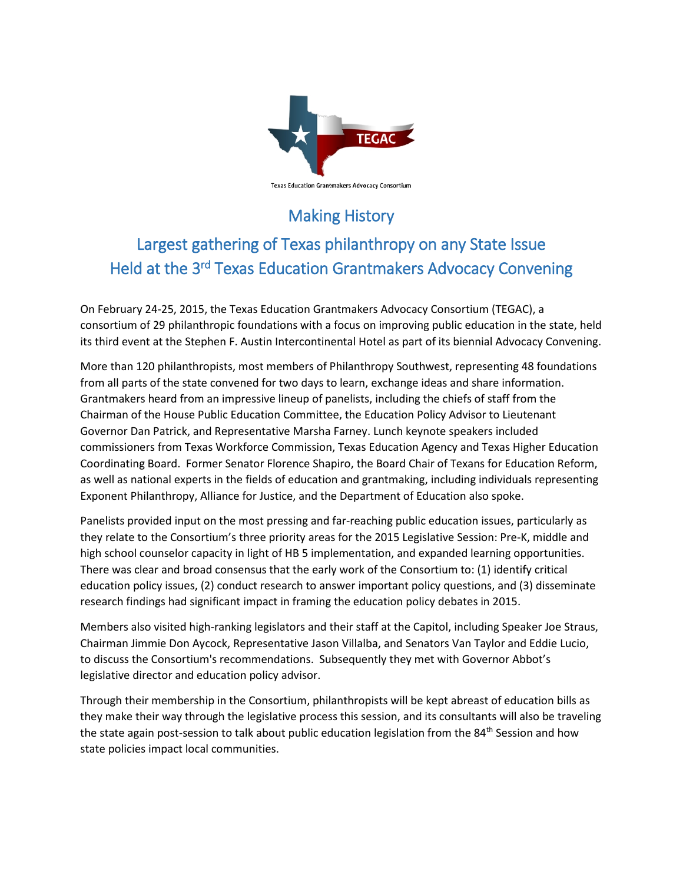

## Making History

## Largest gathering of Texas philanthropy on any State Issue Held at the 3rd Texas Education Grantmakers Advocacy Convening

On February 24-25, 2015, the Texas Education Grantmakers Advocacy Consortium (TEGAC), a consortium of 29 philanthropic foundations with a focus on improving public education in the state, held its third event at the Stephen F. Austin Intercontinental Hotel as part of its biennial Advocacy Convening.

More than 120 philanthropists, most members of Philanthropy Southwest, representing 48 foundations from all parts of the state convened for two days to learn, exchange ideas and share information. Grantmakers heard from an impressive lineup of panelists, including the chiefs of staff from the Chairman of the House Public Education Committee, the Education Policy Advisor to Lieutenant Governor Dan Patrick, and Representative Marsha Farney. Lunch keynote speakers included commissioners from Texas Workforce Commission, Texas Education Agency and Texas Higher Education Coordinating Board. Former Senator Florence Shapiro, the Board Chair of Texans for Education Reform, as well as national experts in the fields of education and grantmaking, including individuals representing Exponent Philanthropy, Alliance for Justice, and the Department of Education also spoke.

Panelists provided input on the most pressing and far-reaching public education issues, particularly as they relate to the Consortium's three priority areas for the 2015 Legislative Session: Pre-K, middle and high school counselor capacity in light of HB 5 implementation, and expanded learning opportunities. There was clear and broad consensus that the early work of the Consortium to: (1) identify critical education policy issues, (2) conduct research to answer important policy questions, and (3) disseminate research findings had significant impact in framing the education policy debates in 2015.

Members also visited high-ranking legislators and their staff at the Capitol, including Speaker Joe Straus, Chairman Jimmie Don Aycock, Representative Jason Villalba, and Senators Van Taylor and Eddie Lucio, to discuss the Consortium's recommendations. Subsequently they met with Governor Abbot's legislative director and education policy advisor.

Through their membership in the Consortium, philanthropists will be kept abreast of education bills as they make their way through the legislative process this session, and its consultants will also be traveling the state again post-session to talk about public education legislation from the 84<sup>th</sup> Session and how state policies impact local communities.